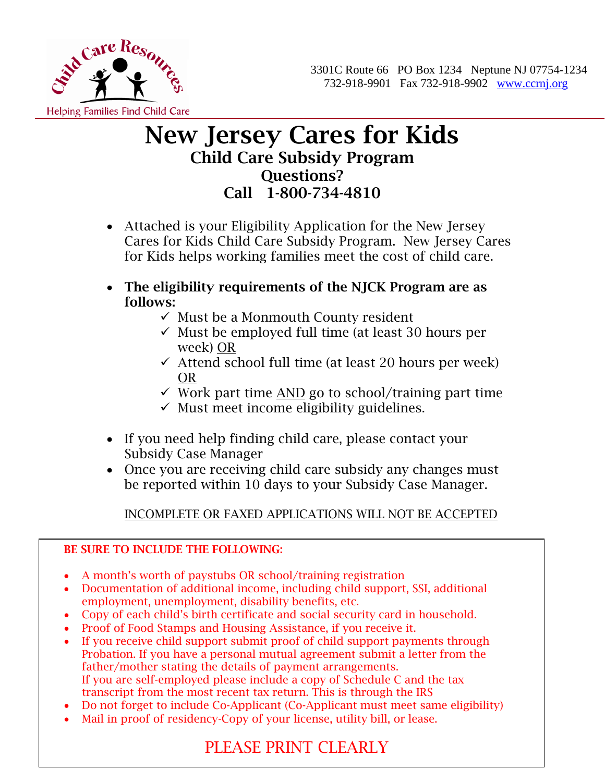

## New Jersey Cares for Kids Child Care Subsidy Program Questions? Call 1-800-734-4810

- Attached is your Eligibility Application for the New Jersey Cares for Kids Child Care Subsidy Program. New Jersey Cares for Kids helps working families meet the cost of child care.
- The eligibility requirements of the NJCK Program are as follows:
	- $\checkmark$  Must be a Monmouth County resident
	- $\checkmark$  Must be employed full time (at least 30 hours per week) OR
	- $\checkmark$  Attend school full time (at least 20 hours per week) OR
	- $\checkmark$  Work part time <u>AND</u> go to school/training part time
	- $\checkmark$  Must meet income eligibility guidelines.
- If you need help finding child care, please contact your Subsidy Case Manager
- Once you are receiving child care subsidy any changes must be reported within 10 days to your Subsidy Case Manager.

### INCOMPLETE OR FAXED APPLICATIONS WILL NOT BE ACCEPTED

#### BE SURE TO INCLUDE THE FOLLOWING:

- A month's worth of paystubs OR school/training registration
- Documentation of additional income, including child support, SSI, additional employment, unemployment, disability benefits, etc.
- Copy of each child's birth certificate and social security card in household.
- Proof of Food Stamps and Housing Assistance, if you receive it.
- If you receive child support submit proof of child support payments through Probation. If you have a personal mutual agreement submit a letter from the father/mother stating the details of payment arrangements. If you are self-employed please include a copy of Schedule C and the tax transcript from the most recent tax return. This is through the IRS
- Do not forget to include Co-Applicant (Co-Applicant must meet same eligibility)
- Mail in proof of residency-Copy of your license, utility bill, or lease.

# PLEASE PRINT CLEARLY